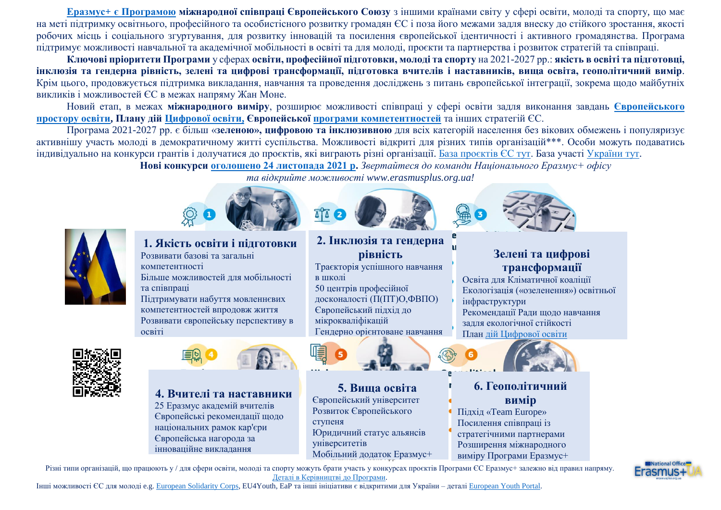**Еразмус+ [є Програмою](https://ec.europa.eu/programmes/erasmus-plus/node_en) міжнародної співпраці Європейського Союзу** з іншими країнами світу у сфері освіти, молоді та спорту, що має на меті підтримку освітнього, професійного та особистісного розвитку громадян ЄС і поза його межами задля внеску до стійкого зростання, якості робочих місць і соціального згуртування, для розвитку інновацій та посилення європейської ідентичності і активного громадянства. Програма підтримує можливості навчальної та академічної мобільності в освіті та для молоді, проєкти та партнерства і розвиток стратегій та співпраці.

**Ключові пріоритети Програми** у сферах **освіти, професійної підготовки, молоді та спорту** на 2021-2027 рр.: **якість в освіті та підготовці, інклюзія та гендерна рівність, зелені та цифрові трансформації, підготовка вчителів і наставників, вища освіта, геополітичний вимір**. Крім цього, продовжується підтримка викладання, навчання та проведення досліджень з питань європейської інтеграції, зокрема щодо майбутніх викликів і можливостей ЄС в межах напряму Жан Моне.

Новий етап, в межах **міжнародного виміру**, розширює можливості співпраці у сфері освіти задля виконання завдань **[Європейського](https://ec.europa.eu/education/education-in-the-eu/european-education-area_en)  [простору освіти,](https://ec.europa.eu/education/education-in-the-eu/european-education-area_en) Плану дій Цифрової освіти, Європейської [програми компетентностей](https://ec.europa.eu/social/main.jsp?catId=1223&langId=en)** та інших стратегій ЄС.

Програма 2021-2027 рр. є більш «**зеленою», цифровою та інклюзивною** для всіх категорій населення без вікових обмежень і популяризує активнішу участь молоді в демократичному житті суспільства. Можливості відкриті для різних типів організацій\*\*\*. Особи можуть подаватись індивідуально на конкурси грантів і долучатися до проєктів, які виграють різні організації. [База проєктів ЄС тут.](https://ec.europa.eu/programmes/erasmus-plus/projects/) База участі [України тут.](https://erasmusplus.org.ua/erasmus/novyny-i-baza-proektiv.html)

*та відкрийте можливості www.erasmusplus.org.ua!*

**Нові конкурси [оголошено 24 листопада 2021 р.](https://erasmusplus.org.ua/novyny/3867-novi-konkursy-2022-r-prohramy-yes-erazmus-vidkryto-biudzhet-konkursu-eur39-billion.html)** *Звертайтеся до команди Національного Еразмус+ офісу* 



**1. Якість освіти і підготовки** Розвивати базові та загальні компетентності Більше можливостей для мобільності та співпраці Підтримувати набуття мовленнєвих компетентностей впродовж життя Розвивати європейську перспективу в освіті



## **4. Вчителі та наставники**

25 Еразмус академій вчителів Європейські рекомендації щодо національних рамок кар'єри Європейська нагорода за інноваційне викладання

P **2. Інклюзія та гендерна**  п **рівність** Траєкторія успішного навчання в школі 50 центрів професійної досконалості (П(ПТ)О,ФВПО) Європейський підхід до мікрокваліфікацій Гендерно орієнтоване навчання



**5. Вища освіта** Європейський університет Розвиток Європейського ступеня Юридичний статус альянсів університетів Мобільний додаток Еразмус+



# **Зелені та цифрові трансформації**

Освіта для Кліматичної коаліції Екологізація («озеленення») освітньої інфраструктури Рекоменлації Рали шоло навчання задля екологічної стійкості План [дій Цифрової освіти](https://ec.europa.eu/education/education-in-the-eu/digital-education-action-plan_en)



# **6. Геополітичний вимір**

Підхід «Team Europe» Посилення співпраці із стратегічними партнерами Розширення міжнародного виміру Програми Еразмус+

Різні типи організацій, що працюють у / для сфери освіти, молоді та спорту можуть брати участь у конкурсах проєктів Програми ЄС Еразмус+ залежно від правил напряму. [Деталі в Керівництві до Програми.](https://ec.europa.eu/programmes/erasmus-plus/resources/programme-guide_en)

Інші можливості ЄС для молоді e.g[. European](https://europa.eu/youth/solidarity_en) Solidarity Corps, EU4Youth, EaP та інші ініціативи є відкритими для України – деталі [European](https://europa.eu/youth/strategy_en) Youth Portal.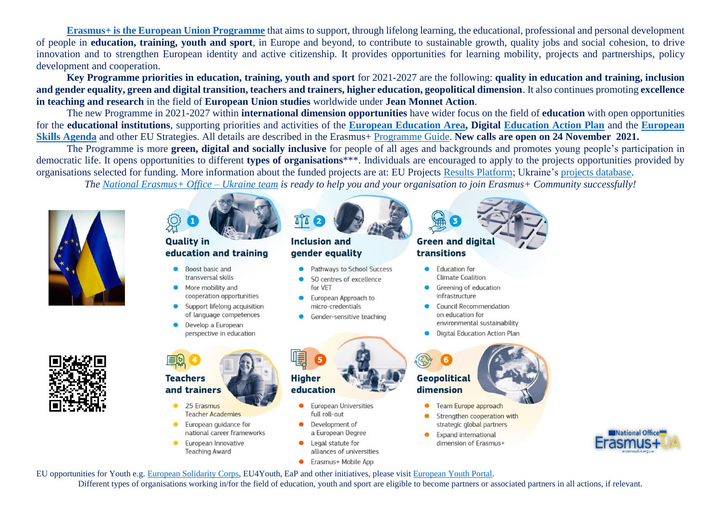**[Erasmus+ is the European Union Programme](https://ec.europa.eu/programmes/erasmus-plus/node_en)** that aims to support, through lifelong learning, the educational, professional and personal development of people in **education, training, youth and sport**, in Europe and beyond, to contribute to sustainable growth, quality jobs and social cohesion, to drive innovation and to strengthen European identity and active citizenship. It provides opportunities for learning mobility, projects and partnerships, policy development and cooperation.

**Key Programme priorities in education, training, youth and sport** for 2021-2027 are the following: **quality in education and training, inclusion and gender equality, green and digital transition, teachers and trainers, higher education, geopolitical dimension**. It also continues promoting **excellence in teaching and research** in the field of **European Union studies** worldwide under **Jean Monnet Action**.

The new Programme in 2021-2027 within **international dimension opportunities** have wider focus on the field of **education** with open opportunities for the **educational institutions**, supporting priorities and activities of the **[European Education Area,](https://ec.europa.eu/education/education-in-the-eu/european-education-area_en) Digital [Education Action Plan](https://ec.europa.eu/education/education-in-the-eu/digital-education-action-plan_en)** and the **[European](https://ec.europa.eu/social/main.jsp?catId=1223&langId=en)  [Skills Agenda](https://ec.europa.eu/social/main.jsp?catId=1223&langId=en)** and other EU Strategies. All details are described in the Erasmus+ [Programme Guide.](https://ec.europa.eu/programmes/erasmus-plus/resources/programme-guide_en) **New calls are open on 24 November 2021.**

The Programme is more **green, digital and socially inclusive** for people of all ages and backgrounds and promotes young people's participation in democratic life. It opens opportunities to different **types of organisations**\*\*\*. Individuals are encouraged to apply to the projects opportunities provided by organisations selected for funding. More information about the funded projects are at: EU Projects Results [Platform;](https://ec.europa.eu/programmes/erasmus-plus/projects/) Ukraine's [projects database.](https://erasmusplus.org.ua/erasmus/novyny-i-baza-proektiv.html)

*The [National Erasmus+ Office –](https://erasmusplus.org.ua/) Ukraine team is ready to help you and your organisation to join Erasmus+ Community successfully!*



Different types of organisations working in/for the field of education, youth and sport are eligible to become partners or associated partners in all actions, if relevant.